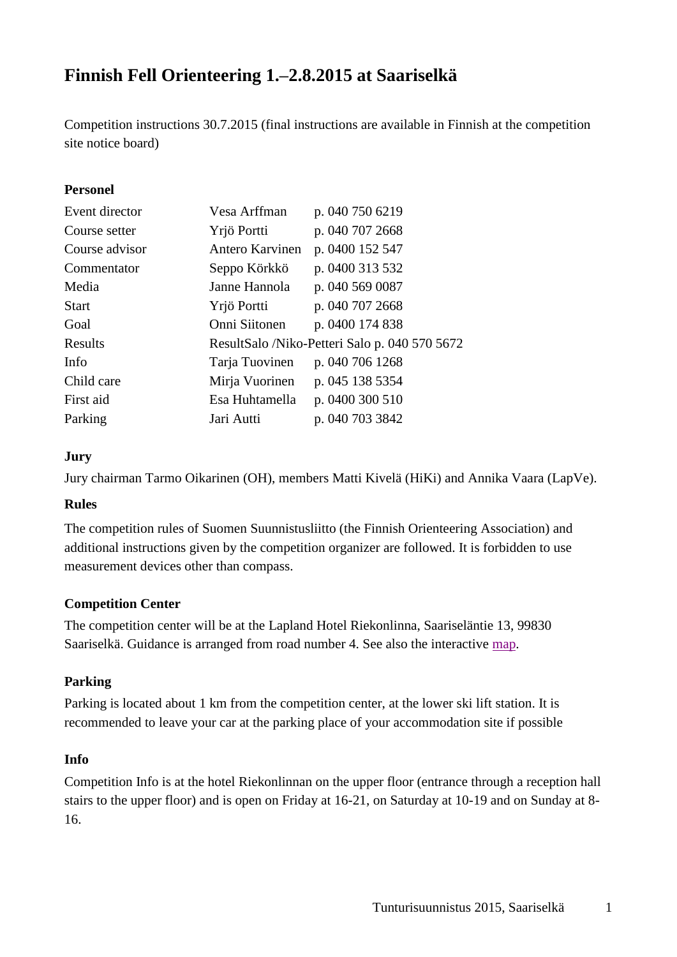# **Finnish Fell Orienteering 1.–2.8.2015 at Saariselkä**

Competition instructions 30.7.2015 (final instructions are available in Finnish at the competition site notice board)

### **Personel**

| Event director | Vesa Arffman    | p. 040 750 6219                               |
|----------------|-----------------|-----------------------------------------------|
| Course setter  | Yrjö Portti     | p. 040 707 2668                               |
| Course advisor | Antero Karvinen | p. 0400 152 547                               |
| Commentator    | Seppo Körkkö    | p. 0400 313 532                               |
| Media          | Janne Hannola   | p. 040 569 0087                               |
| <b>Start</b>   | Yrjö Portti     | p. 040 707 2668                               |
| Goal           | Onni Siitonen   | p. 0400 174 838                               |
| Results        |                 | ResultSalo /Niko-Petteri Salo p. 040 570 5672 |
| Info           | Tarja Tuovinen  | p. 040 706 1268                               |
| Child care     | Mirja Vuorinen  | p. 045 138 5354                               |
| First aid      | Esa Huhtamella  | p. 0400 300 510                               |
| Parking        | Jari Autti      | p. 040 703 3842                               |

#### **Jury**

Jury chairman Tarmo Oikarinen (OH), members Matti Kivelä (HiKi) and Annika Vaara (LapVe).

#### **Rules**

The competition rules of Suomen Suunnistusliitto (the Finnish Orienteering Association) and additional instructions given by the competition organizer are followed. It is forbidden to use measurement devices other than compass.

#### **Competition Center**

The competition center will be at the Lapland Hotel Riekonlinna, Saariseläntie 13, 99830 Saariselkä. Guidance is arranged from road number 4. See also the interactive [map.](http://kansalaisen.karttapaikka.fi/kartanhaku/osoitehaku.html?query=hae&hakutapa=osoitehaku&osoite=Saarisel%C3%A4ntie%2013&kunta=Inari&e=517506.687&n=7589904.952&scale=8000&tool=alue&x=&y=&canvas=&sc=&action=&lang=fi)

#### **Parking**

Parking is located about 1 km from the competition center, at the lower ski lift station. It is recommended to leave your car at the parking place of your accommodation site if possible

#### **Info**

Competition Info is at the hotel Riekonlinnan on the upper floor (entrance through a reception hall stairs to the upper floor) and is open on Friday at 16-21, on Saturday at 10-19 and on Sunday at 8- 16.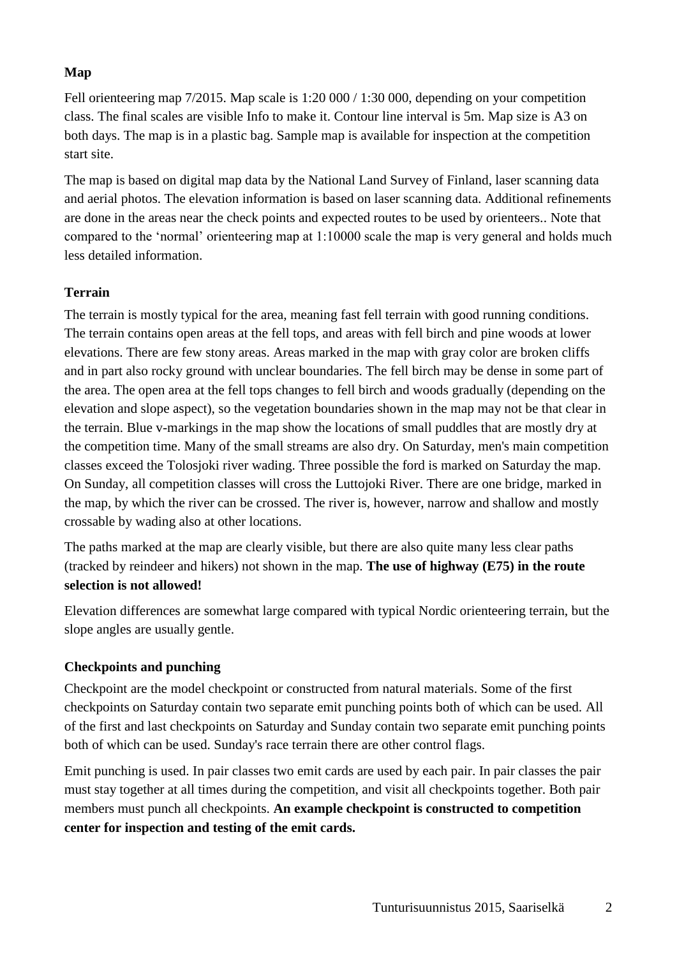## **Map**

Fell orienteering map 7/2015. Map scale is 1:20 000 / 1:30 000, depending on your competition class. The final scales are visible Info to make it. Contour line interval is 5m. Map size is A3 on both days. The map is in a plastic bag. Sample map is available for inspection at the competition start site.

The map is based on digital map data by the National Land Survey of Finland, laser scanning data and aerial photos. The elevation information is based on laser scanning data. Additional refinements are done in the areas near the check points and expected routes to be used by orienteers.. Note that compared to the 'normal' orienteering map at 1:10000 scale the map is very general and holds much less detailed information.

## **Terrain**

The terrain is mostly typical for the area, meaning fast fell terrain with good running conditions. The terrain contains open areas at the fell tops, and areas with fell birch and pine woods at lower elevations. There are few stony areas. Areas marked in the map with gray color are broken cliffs and in part also rocky ground with unclear boundaries. The fell birch may be dense in some part of the area. The open area at the fell tops changes to fell birch and woods gradually (depending on the elevation and slope aspect), so the vegetation boundaries shown in the map may not be that clear in the terrain. Blue v-markings in the map show the locations of small puddles that are mostly dry at the competition time. Many of the small streams are also dry. On Saturday, men's main competition classes exceed the Tolosjoki river wading. Three possible the ford is marked on Saturday the map. On Sunday, all competition classes will cross the Luttojoki River. There are one bridge, marked in the map, by which the river can be crossed. The river is, however, narrow and shallow and mostly crossable by wading also at other locations.

The paths marked at the map are clearly visible, but there are also quite many less clear paths (tracked by reindeer and hikers) not shown in the map. **The use of highway (E75) in the route selection is not allowed!**

Elevation differences are somewhat large compared with typical Nordic orienteering terrain, but the slope angles are usually gentle.

## **Checkpoints and punching**

Checkpoint are the model checkpoint or constructed from natural materials. Some of the first checkpoints on Saturday contain two separate emit punching points both of which can be used. All of the first and last checkpoints on Saturday and Sunday contain two separate emit punching points both of which can be used. Sunday's race terrain there are other control flags.

Emit punching is used. In pair classes two emit cards are used by each pair. In pair classes the pair must stay together at all times during the competition, and visit all checkpoints together. Both pair members must punch all checkpoints. **An example checkpoint is constructed to competition center for inspection and testing of the emit cards.**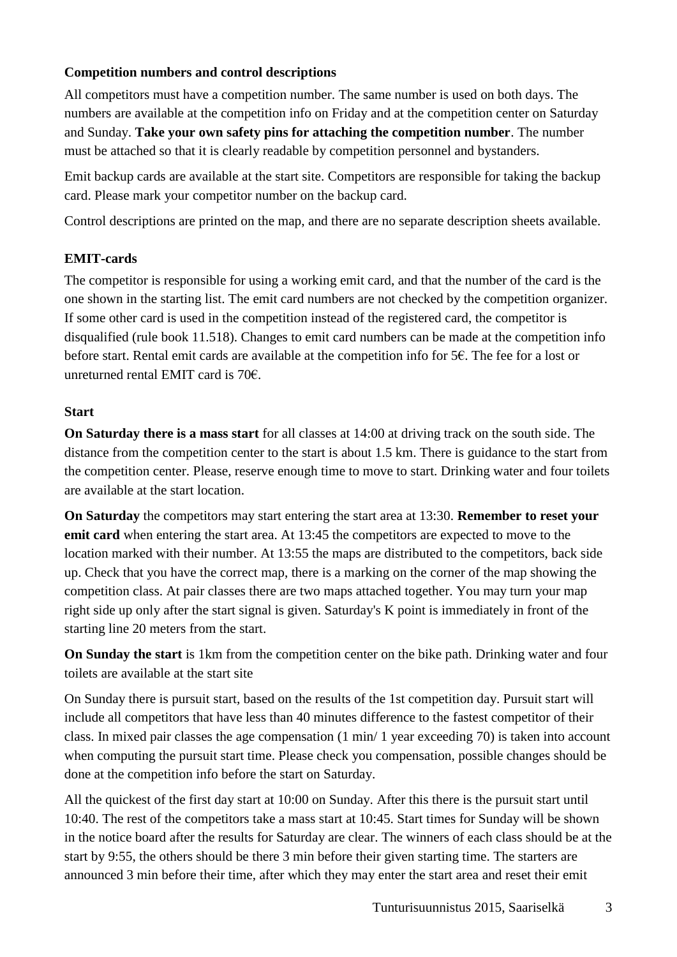## **Competition numbers and control descriptions**

All competitors must have a competition number. The same number is used on both days. The numbers are available at the competition info on Friday and at the competition center on Saturday and Sunday. **Take your own safety pins for attaching the competition number**. The number must be attached so that it is clearly readable by competition personnel and bystanders.

Emit backup cards are available at the start site. Competitors are responsible for taking the backup card. Please mark your competitor number on the backup card.

Control descriptions are printed on the map, and there are no separate description sheets available.

## **EMIT-cards**

The competitor is responsible for using a working emit card, and that the number of the card is the one shown in the starting list. The emit card numbers are not checked by the competition organizer. If some other card is used in the competition instead of the registered card, the competitor is disqualified (rule book 11.518). Changes to emit card numbers can be made at the competition info before start. Rental emit cards are available at the competition info for 5€. The fee for a lost or unreturned rental EMIT card is 70€.

#### **Start**

**On Saturday there is a mass start** for all classes at 14:00 at driving track on the south side. The distance from the competition center to the start is about 1.5 km. There is guidance to the start from the competition center. Please, reserve enough time to move to start. Drinking water and four toilets are available at the start location.

**On Saturday** the competitors may start entering the start area at 13:30. **Remember to reset your emit card** when entering the start area. At 13:45 the competitors are expected to move to the location marked with their number. At 13:55 the maps are distributed to the competitors, back side up. Check that you have the correct map, there is a marking on the corner of the map showing the competition class. At pair classes there are two maps attached together. You may turn your map right side up only after the start signal is given. Saturday's K point is immediately in front of the starting line 20 meters from the start.

**On Sunday the start** is 1km from the competition center on the bike path. Drinking water and four toilets are available at the start site

On Sunday there is pursuit start, based on the results of the 1st competition day. Pursuit start will include all competitors that have less than 40 minutes difference to the fastest competitor of their class. In mixed pair classes the age compensation (1 min/ 1 year exceeding 70) is taken into account when computing the pursuit start time. Please check you compensation, possible changes should be done at the competition info before the start on Saturday.

All the quickest of the first day start at 10:00 on Sunday. After this there is the pursuit start until 10:40. The rest of the competitors take a mass start at 10:45. Start times for Sunday will be shown in the notice board after the results for Saturday are clear. The winners of each class should be at the start by 9:55, the others should be there 3 min before their given starting time. The starters are announced 3 min before their time, after which they may enter the start area and reset their emit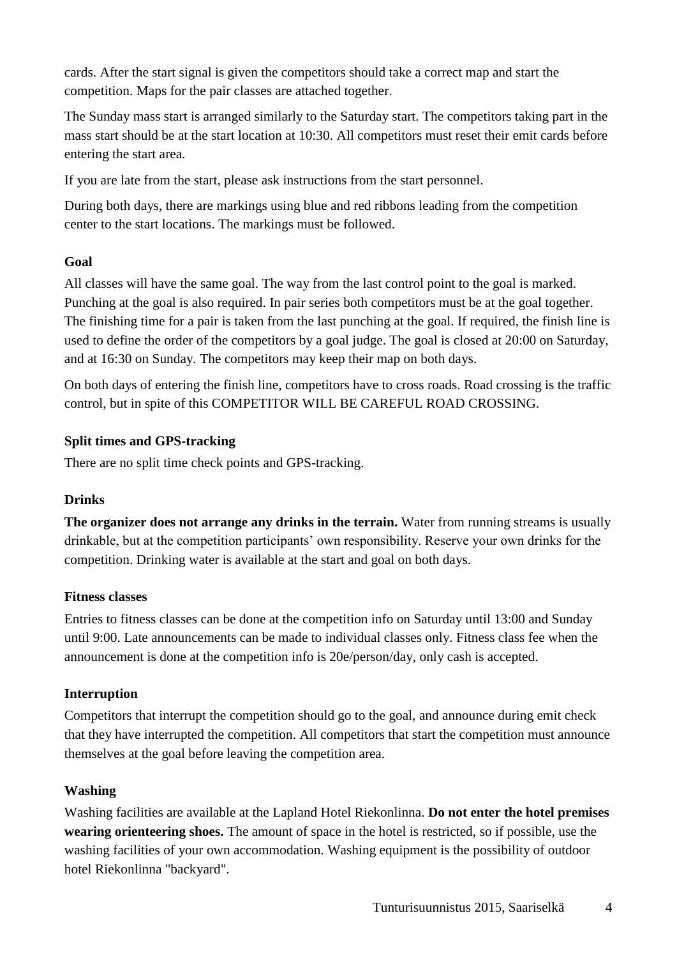cards. After the start signal is given the competitors should take a correct map and start the competition. Maps for the pair classes are attached together.

The Sunday mass start is arranged similarly to the Saturday start. The competitors taking part in the mass start should be at the start location at 10:30. All competitors must reset their emit cards before entering the start area.

If you are late from the start, please ask instructions from the start personnel.

During both days, there are markings using blue and red ribbons leading from the competition center to the start locations. The markings must be followed.

#### **Goal**

All classes will have the same goal. The way from the last control point to the goal is marked. Punching at the goal is also required. In pair series both competitors must be at the goal together. The finishing time for a pair is taken from the last punching at the goal. If required, the finish line is used to define the order of the competitors by a goal judge. The goal is closed at 20:00 on Saturday, and at 16:30 on Sunday. The competitors may keep their map on both days.

On both days of entering the finish line, competitors have to cross roads. Road crossing is the traffic control, but in spite of this COMPETITOR WILL BE CAREFUL ROAD CROSSING.

#### **Split times and GPS-tracking**

There are no split time check points and GPS-tracking.

#### **Drinks**

**The organizer does not arrange any drinks in the terrain.** Water from running streams is usually drinkable, but at the competition participants' own responsibility. Reserve your own drinks for the competition. Drinking water is available at the start and goal on both days.

#### **Fitness classes**

Entries to fitness classes can be done at the competition info on Saturday until 13:00 and Sunday until 9:00. Late announcements can be made to individual classes only. Fitness class fee when the announcement is done at the competition info is 20e/person/day, only cash is accepted.

#### **Interruption**

Competitors that interrupt the competition should go to the goal, and announce during emit check that they have interrupted the competition. All competitors that start the competition must announce themselves at the goal before leaving the competition area.

## **Washing**

Washing facilities are available at the Lapland Hotel Riekonlinna. **Do not enter the hotel premises wearing orienteering shoes.** The amount of space in the hotel is restricted, so if possible, use the washing facilities of your own accommodation. Washing equipment is the possibility of outdoor hotel Riekonlinna "backyard".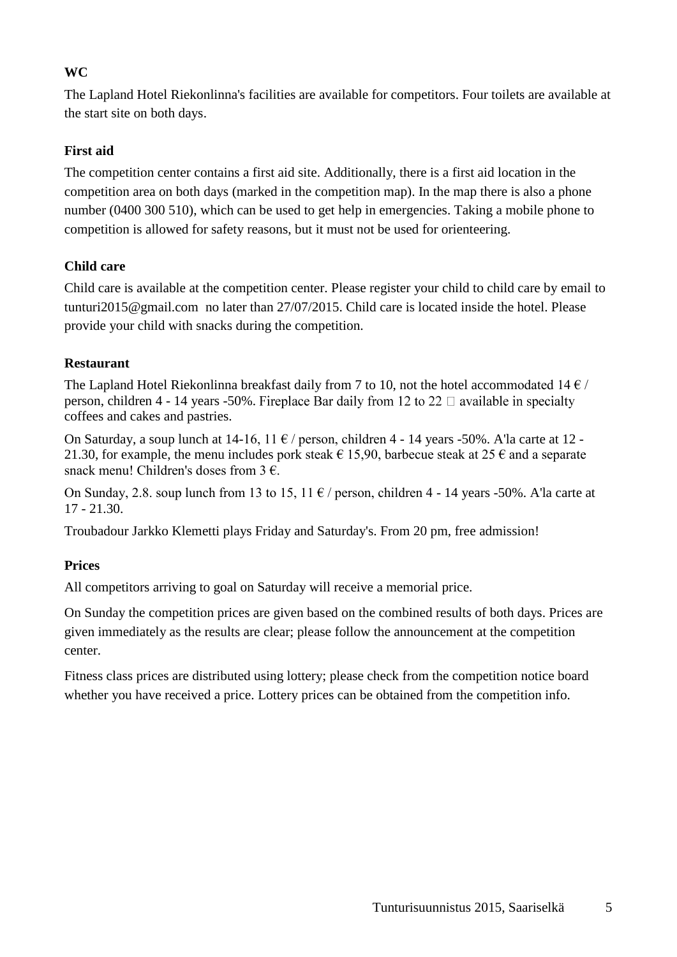## **WC**

The Lapland Hotel Riekonlinna's facilities are available for competitors. Four toilets are available at the start site on both days.

## **First aid**

The competition center contains a first aid site. Additionally, there is a first aid location in the competition area on both days (marked in the competition map). In the map there is also a phone number (0400 300 510), which can be used to get help in emergencies. Taking a mobile phone to competition is allowed for safety reasons, but it must not be used for orienteering.

## **Child care**

Child care is available at the competition center. Please register your child to child care by email to tunturi2015@gmail.com no later than 27/07/2015. Child care is located inside the hotel. Please provide your child with snacks during the competition.

## **Restaurant**

The Lapland Hotel Riekonlinna breakfast daily from 7 to 10, not the hotel accommodated 14  $\epsilon$  / person, children 4 - 14 years -50%. Fireplace Bar daily from 12 to 22  $\Box$  available in specialty coffees and cakes and pastries.

On Saturday, a soup lunch at  $14$ -16,  $11 \notin$  / person, children 4 - 14 years -50%. A'la carte at 12 -21.30, for example, the menu includes pork steak  $\epsilon$  15.90, barbecue steak at 25  $\epsilon$  and a separate snack menu! Children's doses from  $3 \epsilon$ .

On Sunday, 2.8. soup lunch from 13 to 15, 11  $\epsilon$  / person, children 4 - 14 years -50%. A la carte at 17 - 21.30.

Troubadour Jarkko Klemetti plays Friday and Saturday's. From 20 pm, free admission!

## **Prices**

All competitors arriving to goal on Saturday will receive a memorial price.

On Sunday the competition prices are given based on the combined results of both days. Prices are given immediately as the results are clear; please follow the announcement at the competition center.

Fitness class prices are distributed using lottery; please check from the competition notice board whether you have received a price. Lottery prices can be obtained from the competition info.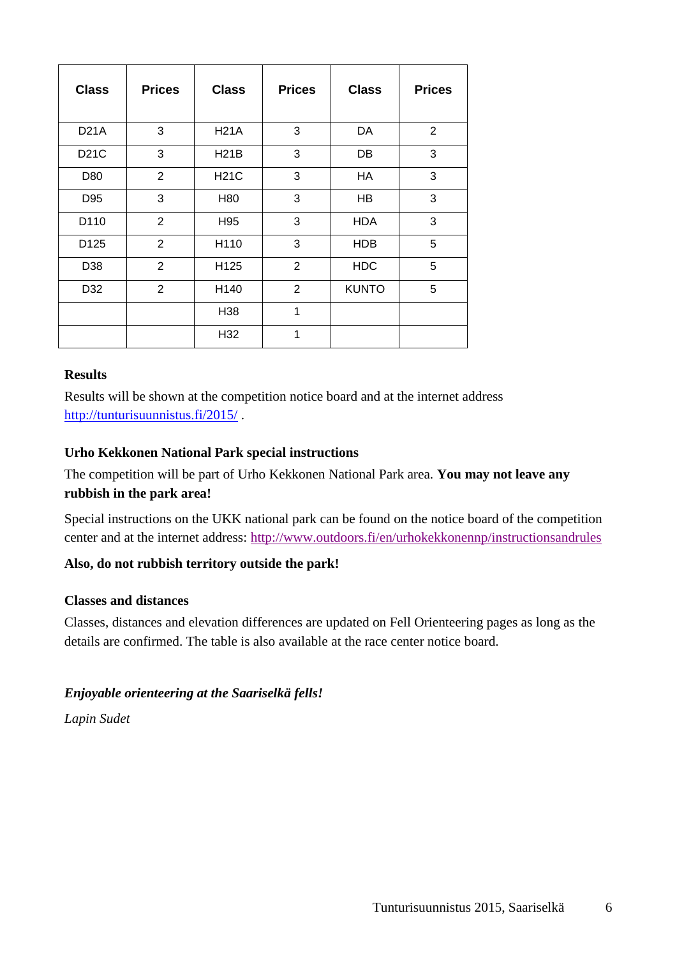| <b>Class</b>     | <b>Prices</b>  | <b>Class</b> | <b>Prices</b>  | <b>Class</b> | <b>Prices</b> |
|------------------|----------------|--------------|----------------|--------------|---------------|
| <b>D21A</b>      | 3              | <b>H21A</b>  | 3              | DA           | 2             |
| D21C             | 3              | <b>H21B</b>  | 3              | DB           | 3             |
| D80              | 2              | <b>H21C</b>  | 3              | HA           | 3             |
| D95              | 3              | H80          | 3              | HB           | 3             |
| D110             | 2              | H95          | 3              | <b>HDA</b>   | 3             |
| D <sub>125</sub> | 2              | H110         | 3              | <b>HDB</b>   | 5             |
| D38              | $\overline{2}$ | H125         | $\overline{2}$ | <b>HDC</b>   | 5             |
| D32              | 2              | H140         | $\overline{2}$ | <b>KUNTO</b> | 5             |
|                  |                | H38          | 1              |              |               |
|                  |                | H32          | 1              |              |               |

#### **Results**

Results will be shown at the competition notice board and at the internet address <http://tunturisuunnistus.fi/2015/>

#### **Urho Kekkonen National Park special instructions**

The competition will be part of Urho Kekkonen National Park area. **You may not leave any rubbish in the park area!**

Special instructions on the UKK national park can be found on the notice board of the competition center and at the internet address: <http://www.outdoors.fi/en/urhokekkonennp/instructionsandrules>

## **Also, do not rubbish territory outside the park!**

#### **Classes and distances**

Classes, distances and elevation differences are updated on Fell Orienteering pages as long as the details are confirmed. The table is also available at the race center notice board.

#### *Enjoyable orienteering at the Saariselkä fells!*

*Lapin Sudet*